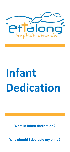

# **Infant Dedication**

**What is infant dedication?** 

**Why should I dedicate my child?**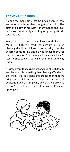# **The Joy Of Children**

Among the many gifts that God has given us, few are more wonderful than the gift of a child. The birth of a baby brings with it many hopes and joys, and most importantly a feeling of great gratitude towards God.

Every child has an important place in God's love. In Mark 10:13-16 we read the account of Jesus blessing the little children. Jesus said, "Let the children come to me and do not hinder them, for the Kingdom of God belongs to such as these". Jesus wishes to bless our children in the same way today.

It is important that as parents and as a church family we play our role in making that blessing effective in the child's life. It is right and proper then that we bring our children before God as an act of dedication and thanksgiving, and that we promise by God's help to give our child a loving, Christian upbringing.

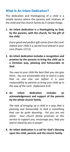## **What Is An Infant Dedication?**

The dedication and thanksgiving of a child is a simple service where the parents and relatives of the child and the church family do 4 simple things.

**1. An infant dedication is a thanksgiving to God, by the parents, with the church, for the gift of the child.** 

*Every good and perfect gift comes from the Lord. Indeed your child is a sacred trust placed in your care (Psalm 127:3).* 

**2. An infant dedication includes a recognition and promise by the parents to bring the child up in a Christian way, pleasing and honourable to God.** 

*You owe to your child the best that you can give them. You are answerable only to God in a way that no one else can before it is your responsibility as parents to bring your child up in the way of the Lord. (Ephesians 6:4)*

**3. An infant dedication includes an acknowledgement and support of the parents by the whole church family.** 

*The task of bringing up a child in a way that is pleasing and honourable to God is something that can be quite daunting. Yet you are not alone. Your church family promises at this service to support you, encourage you, help you and to stand by you in prayer.*

**4. An infant dedication is a call for God's blessing upon the child, parents and the church family.**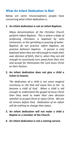## **What An Infant Dedication Is Not!**

Below are some misconceptions people have concerning what infant dedication is.

#### **1. An infant dedication is not an Infant Baptism.**

*Many denominations of the Christian Church perform Infant Baptism. This is where a baby of professing Christians is baptised by semi immersion, or the sprinkling or pouring of water. Baptists do not practice infant baptism, we practice believers baptism. A person is only baptised when they are old enough to make their own decision of faith, that is, when they are old enough to consciously turn away from their sins and accept for themselves the Lord Jesus Christ as their Saviour.* 

## **2. An infant dedication does not give a child a ticket to heaven.**

*The dedication of a child is not some magical ceremony or rite that will cause him or her to become a child of God. When a child is old enough to understand the gospel of Jesus Christ then they need to make their own decision whether to accept Christ or reject Christ. We are all sinners before God. Dedication of an infant will do nothing to change that status.* 

### **3. An infant dedication will not make a child a Baptist or a member of the Church.**

**4. An infant dedication is not a naming service.**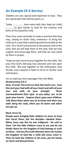## **An Example Of A Service:**

Children are very special and important to God. They are a great gift that God has given us.

Today ……………… have come with their baby (or child) ……………to give thanks to God for the creation and birth of this beautiful child.

They have come secondly to make a promise that they may, relying on God's help, endeavour to bring this child up in a way that is pleasing and honourable to the Lord. As a church we promise to the parents and to the Lord, that we will help them in this task, that we may support and encourage them, and that we may stand by them in prayer.

Today we also come to pray together for this child. We pray that God's blessing may descend and rest upon this child. We pray together as this child grows, that he/she, may respond in faith to Christ as his/her Lord and Saviour.

Let us read two short passages from the Bible;

#### **Deuteronomy 6:4-7,**

**Hear, O Israel: The Lord our God, the Lord is one. Love the Lord your God with all your heart and with all your soul and with all your strength. These commandments that I give to you today are to be upon your hearts. Impress them upon your children. Talk about them when you sit at home and when you walk along the road, when you lie down and when you get up.** 

#### **Mark 10:13-16,**

**People were bringing little children to Jesus to have him touch them, but the disciples rebuked them. When Jesus saw this he was indignant. He said to them "Let the little children come to me and do not hinder them for the kingdom of God belongs to such as these. I tell you the truth whoever does not receive the kingdom of God like a child will never enter it. Then he took the children in his arms, put his hands on them and blessed them.**